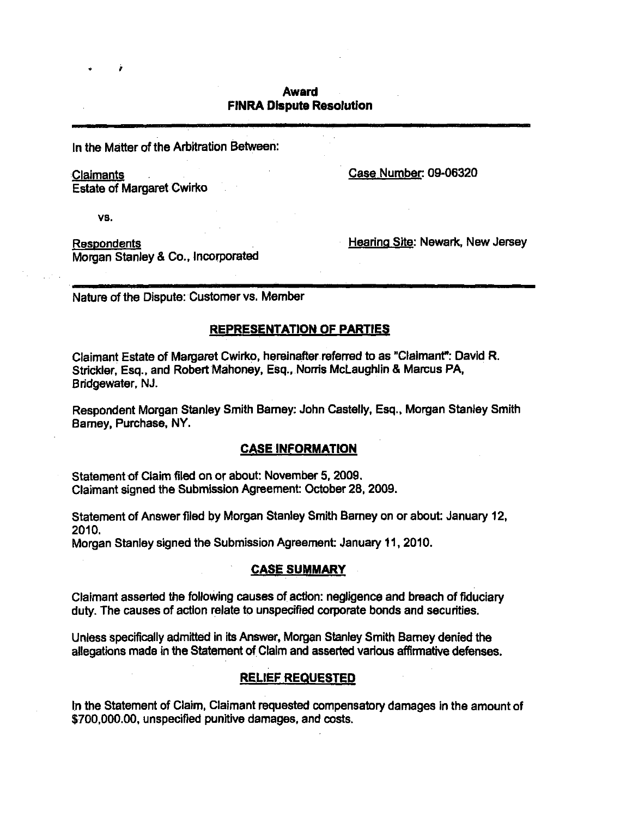## **Award FINRA Dispute Resolution**

In the Matter of the Arbitration Between:

Claimants

Case Number: 09-06320

**Estate of Margaret Cwirko** 

vs.

**Respondents** Morgan Stanley & Co., incorporated Hearing Site: Newark, New Jersey

Nature of the Dispute: Customer vs. Member

# **REPRESENTATION OF PARTIES**

Claimant Estate of Margaret Cwirko, hereinafter referred to as "Claimant": David R. Strickier, Esq., and Robert Mahoney. Esq., Norn's McLaughlin & Marcus PA, Bridgewater, NJ.

Respondent Morgan Stanley Smith Barney: John Casteliy, Esq., Morgan Stanley Smith Barney, Purchase, NY.

# **CASE INFORMATION**

Statement of Claim filed on or about: November 5, 2009. Claimant signed the Submission Agreement: October 28, 2009.

Statement of Answer filed by Morgan Stanley Smith Barney on or about: January 12, 2010.

Morgan Stanley signed the Submission Agreement: January 11, 2010.

## **CASE SUMMARY**

Claimant asserted the following causes of action: negligence and breach of fiduciary duty. The causes of action relate to unspecified corporate bonds and securities.

Unless specifically admitted in Its Answer, Morgan Stanley Smith Barney denied the allegations made in the Statement of Claim and asserted various affirmative defenses.

# **RELIEF REQUESTED**

In the Statement of Claim, Claimant requested compensatory damages in the amount of \$700,000.00, unspecified punitive damages, and costs.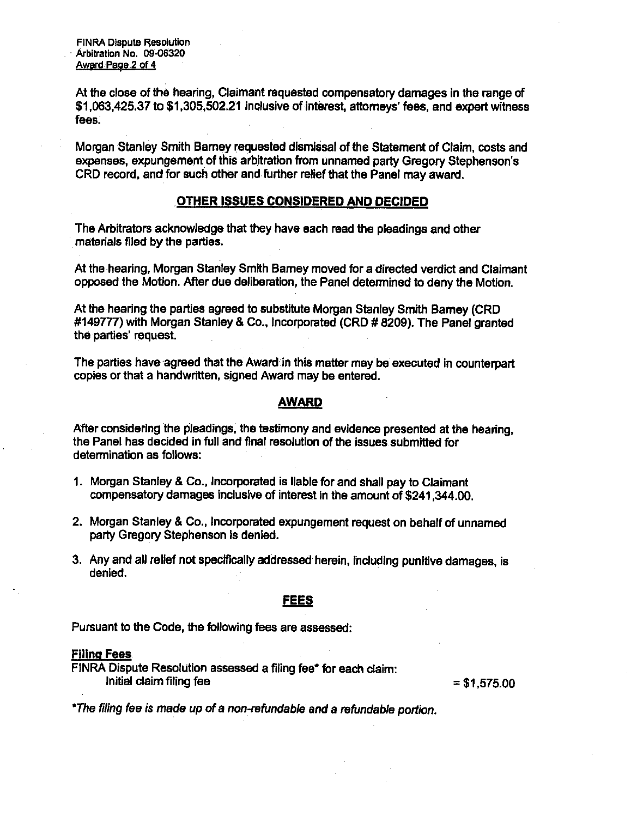FINRA Dispute Resolution Arbitration No. 09-06320 Award Page 2 of 4

At the close of the hearing, Claimant requested compensatory damages in the range of \$1,063,425.37 to \$1,305,502.21 inclusive of interest, attorneys' fees, and expert witness fees.

Morgan Stanley Smith Bamey requested dismissal of the Statement of Claim, costs and expenses, expungement of this arbitration from unnamed party Gregory Stephenson's CRD record, and for such other and further relief that the Panel may award.

### **OTHER ISSUES CONSIDERED AND DECIDED**

The Arbitrators acknowledge that they have each read the pleadings and other materials filed by the parties.

At the hearing, Morgan Stanley Smith Bamey moved for a directed verdict and Claimant opposed the Motion. After due deliberation, the Panel determined to deny the Motion.

At the hearing the parties agreed to substitute Morgan Stanley Smith Bamey (CRD #149777) with Morgan Stanley & Co.. Incorporated (CRD # 8209). The Panel granted the parties' request.

The parties have agreed that the Award in this matter may be executed in counterpart copies or that a handwritten, signed Award may be entered.

#### **AWARD**

After considering the pleadings, the testimony and evidence presented at the hearing, the Panel has decided in full and final resolution of the issues submitted for determination as follows:

- 1. Morgan Stanley & Co., Incorporated is liable for and shall pay to Claimant compensatory damages inclusive of interest in the amount of \$241,344.00.
- 2. Morgan Stanley & Co., Incorporated expungement request on behalf of unnamed party Gregory Stephenson is denied.
- 3. Any and all relief not specifically addressed herein, including punitive damages, is denied.

## **FEES**

**Pursuant to the Code, the following fees are assessed:** 

#### **Filing Fees**

FINRA Dispute Resolution assessed a filing fee\* for each claim:  $\text{initial claim filing fee} = $1,575.00$ 

\*The filing fee is made up of a non-refundable and a refundable portion.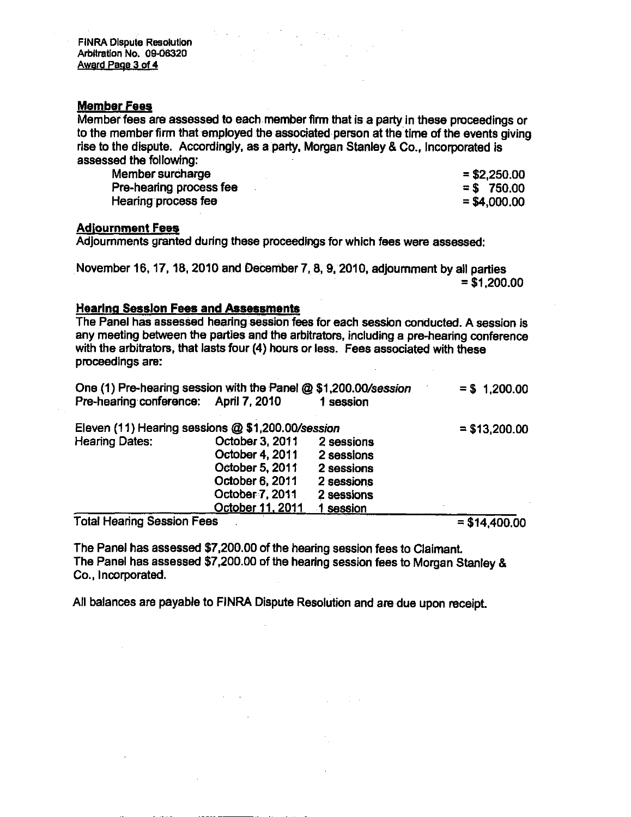### **Member Fees**

Member fees are assessed to each member firm that is a party in these proceedings or to the member firm that employed the associated person at the time of the events giving rise to the dispute. Accordingly, as a party. Morgan Stanley & Co., Incorporated is assessed the following:

| Member surcharge        | $= $2,250.00$ |
|-------------------------|---------------|
| Pre-hearing process fee | $=$ \$750.00  |
| Hearing process fee     | $= $4,000.00$ |

#### **Adiournment Fees**

Adjournments granted during these proceedings for which fees were assessed:

November 16, 17, 18, 2010 and December 7, 8, 9, 2010, adjournment by all parties  $= $1,200.00$ 

### **Hearing Session Fees and Assessments**

The Panel has assessed hearing session fees for each session conducted. A session is any meeting between the parties and the arbitrators, including a pre-hearing conference with the arbitrators, that lasts four (4) hours or less. Fees associated with these proceedings are:

| One (1) Pre-hearing session with the Panel @ \$1,200.00/session |           | $= $1,200.00$ |
|-----------------------------------------------------------------|-----------|---------------|
| Pre-hearing conference: April 7, 2010                           | 1 session |               |

| Eleven (11) Hearing sessions @ \$1,200.00/session |                  |            | $=$ \$13,200.00 |
|---------------------------------------------------|------------------|------------|-----------------|
| <b>Hearing Dates:</b>                             | October 3, 2011  | 2 sessions |                 |
|                                                   | October 4, 2011  | 2 sessions |                 |
|                                                   | October 5, 2011  | 2 sessions |                 |
|                                                   | October 6, 2011  | 2 sessions |                 |
|                                                   | October 7, 2011  | 2 sessions |                 |
|                                                   | October 11, 2011 | session    |                 |

Total Hearing Session Fees  $= $14,400.00$ 

The Panel has assessed \$7,200.00 of the hearing session fees to Claimant The Panel has assessed \$7,200.00 of the hearing session fees to Morgan Stanley & Co., incorporated.

All balances are payable to FINRA Dispute Resolution and are due upon receipt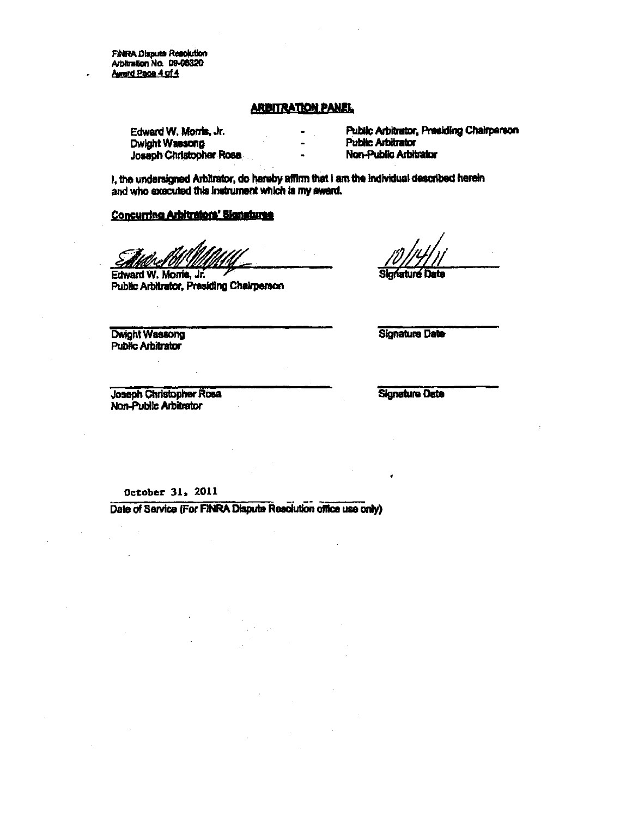**FINRA Dispute Resolution** Arbitration No. 09-06320 Award Page 4 of 4

#### **ARBITRATION PANEL**

Edward W. Morris. Jr. Dwight Wassong Joseph Christopher Rosa Public Arbitrator, Presiding Chairperson **Public Arbitrator** Non-Public Arbitrator

I, the undersigned Arbitrator, do hereby affirm that I am the individual described herein and who executed this instrument which is my award.

## Concurring Arbitrators' Signatures

Edward W. Morris, Jr. Public Arbitrator, Presiding Chairperson

laturá

Dwight Wassong **Public Arbitrator** 

**Signature Date** 

Joseph Christopher Rosa Non-Public Arbitrator

**Signature Date** 

October 31, 2011

Date of Sarvice (For FINRA Dispute Resolution office use only)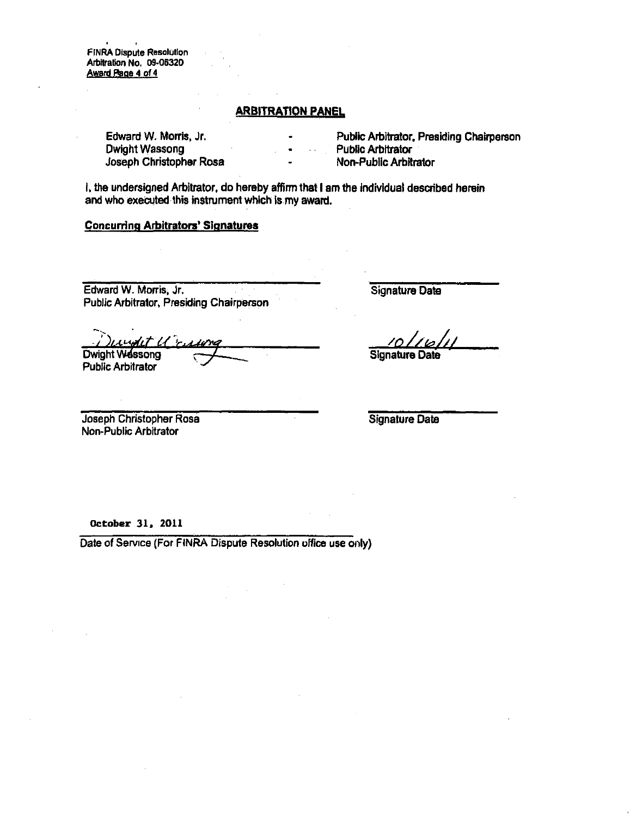FINRA Dispute Resolution Arbitration No. 09-06320 Award Paoe 4 of 4

#### **ARBITRATION PANEL**

Edward W. Morris, Jr. Dwight Wassong Joseph Christopher Rosa

- Public Arbitrator. Presiding Chairperson
- Public Arbitrator
- Non-Public Arbitrator

i, the undersigned Arbitrator, do hereby affirm that I am the individual described herein and who executed this instrument which is my award.

### Concurring Arbitrators' Signatures

Edward W. Morris, Jr. Public Arbitrator, Presiding Chairperson Signature Date

Signature Date

Joseph Christopher Rosa Non^Public Arbitrator

Dwight Wassong Public Arbitrator

Signature Date

**October 31, 2011** 

Date of Service (For FINRA Dispute Resolution office use only)